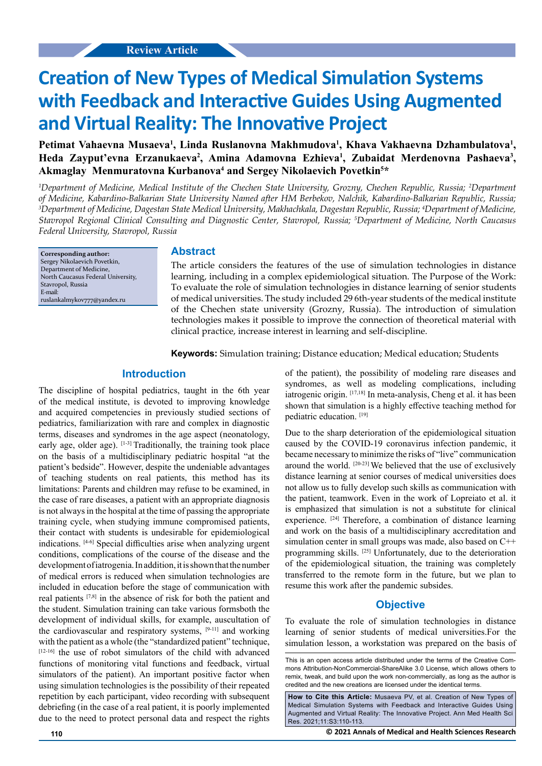# **Creation of New Types of Medical Simulation Systems with Feedback and Interactive Guides Using Augmented and Virtual Reality: The Innovative Project**

Petimat Vahaevna Musaeva<sup>1</sup>, Linda Ruslanovna Makhmudova<sup>1</sup>, Khava Vakhaevna Dzhambulatova<sup>1</sup>, Heda Zayput'evna Erzanukaeva<sup>2</sup>, Amina Adamovna Ezhieva<sup>1</sup>, Zubaidat Merdenovna Pashaeva<sup>3</sup>, Akmaglay Menmuratovna Kurbanova<sup>4</sup> and Sergey Nikolaevich Povetkin<sup>5\*</sup>

*1 Department of Medicine, Medical Institute of the Chechen State University, Grozny, Chechen Republic, Russia; 2 Department of Medicine, Kabardino-Balkarian State University Named after HM Berbekov, Nalchik, Kabardino-Balkarian Republic, Russia; 3 Department of Medicine, Dagestan State Medical University, Makhachkala, Dagestan Republic, Russia; 4 Department of Medicine, Stavropol Regional Clinical Consulting and Diagnostic Center, Stavropol, Russia; 5 Department of Medicine, North Caucasus Federal University, Stavropol, Russia*

**Corresponding author:** Sergey Nikolaevich Povetkin, Department of Medicine, North Caucasus Federal University, Stavropol, Russia E-mail: ruslankalmykov777@yandex.ru

## **Abstract**

The article considers the features of the use of simulation technologies in distance learning, including in a complex epidemiological situation. The Purpose of the Work: To evaluate the role of simulation technologies in distance learning of senior students of medical universities. The study included 29 6th-year students of the medical institute of the Chechen state university (Grozny, Russia). The introduction of simulation technologies makes it possible to improve the connection of theoretical material with clinical practice, increase interest in learning and self-discipline.

**Keywords:** Simulation training; Distance education; Medical education; Students

## **Introduction**

The discipline of hospital pediatrics, taught in the 6th year of the medical institute, is devoted to improving knowledge and acquired competencies in previously studied sections of pediatrics, familiarization with rare and complex in diagnostic terms, diseases and syndromes in the age aspect (neonatology, early age, older age). [1-3] Traditionally, the training took place on the basis of a multidisciplinary pediatric hospital "at the patient's bedside". However, despite the undeniable advantages of teaching students on real patients, this method has its limitations: Parents and children may refuse to be examined, in the case of rare diseases, a patient with an appropriate diagnosis is not always in the hospital at the time of passing the appropriate training cycle, when studying immune compromised patients, their contact with students is undesirable for epidemiological indications. [4-6] Special difficulties arise when analyzing urgent conditions, complications of the course of the disease and the development of iatrogenia. In addition, it is shown that the number of medical errors is reduced when simulation technologies are included in education before the stage of communication with real patients [7,8] in the absence of risk for both the patient and the student. Simulation training can take various formsboth the development of individual skills, for example, auscultation of the cardiovascular and respiratory systems, [9-11] and working with the patient as a whole (the "standardized patient" technique, [12-16] the use of robot simulators of the child with advanced functions of monitoring vital functions and feedback, virtual simulators of the patient). An important positive factor when using simulation technologies is the possibility of their repeated repetition by each participant, video recording with subsequent debriefing (in the case of a real patient, it is poorly implemented due to the need to protect personal data and respect the rights of the patient), the possibility of modeling rare diseases and syndromes, as well as modeling complications, including iatrogenic origin. [17,18] In meta-analysis, Cheng et al. it has been shown that simulation is a highly effective teaching method for pediatric education. [19]

Due to the sharp deterioration of the epidemiological situation caused by the COVID-19 coronavirus infection pandemic, it became necessary to minimize the risks of "live" communication around the world. [20-23] We believed that the use of exclusively distance learning at senior courses of medical universities does not allow us to fully develop such skills as communication with the patient, teamwork. Even in the work of Lopreiato et al. it is emphasized that simulation is not a substitute for clinical experience. <sup>[24]</sup> Therefore, a combination of distance learning and work on the basis of a multidisciplinary accreditation and simulation center in small groups was made, also based on C++ programming skills. [25] Unfortunately, due to the deterioration of the epidemiological situation, the training was completely transferred to the remote form in the future, but we plan to resume this work after the pandemic subsides.

## **Objective**

To evaluate the role of simulation technologies in distance learning of senior students of medical universities.For the simulation lesson, a workstation was prepared on the basis of

This is an open access article distributed under the terms of the Creative Commons Attribution‑NonCommercial‑ShareAlike 3.0 License, which allows others to remix, tweak, and build upon the work non‑commercially, as long as the author is credited and the new creations are licensed under the identical terms.

**How to Cite this Article:** Musaeva PV, et al. Creation of New Types of Medical Simulation Systems with Feedback and Interactive Guides Using Augmented and Virtual Reality: The Innovative Project. Ann Med Health Sci Res. 2021;11:S3:110-113.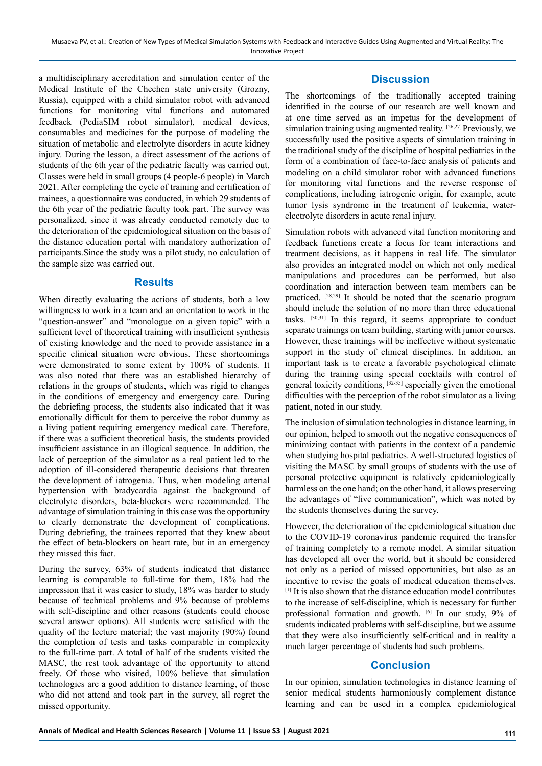a multidisciplinary accreditation and simulation center of the Medical Institute of the Chechen state university (Grozny, Russia), equipped with a child simulator robot with advanced functions for monitoring vital functions and automated feedback (PediaSIM robot simulator), medical devices, consumables and medicines for the purpose of modeling the situation of metabolic and electrolyte disorders in acute kidney injury. During the lesson, a direct assessment of the actions of students of the 6th year of the pediatric faculty was carried out. Classes were held in small groups (4 people-6 people) in March 2021. After completing the cycle of training and certification of trainees, a questionnaire was conducted, in which 29 students of the 6th year of the pediatric faculty took part. The survey was personalized, since it was already conducted remotely due to the deterioration of the epidemiological situation on the basis of the distance education portal with mandatory authorization of participants.Since the study was a pilot study, no calculation of the sample size was carried out.

#### **Results**

When directly evaluating the actions of students, both a low willingness to work in a team and an orientation to work in the "question-answer" and "monologue on a given topic" with a sufficient level of theoretical training with insufficient synthesis of existing knowledge and the need to provide assistance in a specific clinical situation were obvious. These shortcomings were demonstrated to some extent by 100% of students. It was also noted that there was an established hierarchy of relations in the groups of students, which was rigid to changes in the conditions of emergency and emergency care. During the debriefing process, the students also indicated that it was emotionally difficult for them to perceive the robot dummy as a living patient requiring emergency medical care. Therefore, if there was a sufficient theoretical basis, the students provided insufficient assistance in an illogical sequence. In addition, the lack of perception of the simulator as a real patient led to the adoption of ill-considered therapeutic decisions that threaten the development of iatrogenia. Thus, when modeling arterial hypertension with bradycardia against the background of electrolyte disorders, beta-blockers were recommended. The advantage of simulation training in this case was the opportunity to clearly demonstrate the development of complications. During debriefing, the trainees reported that they knew about the effect of beta-blockers on heart rate, but in an emergency they missed this fact.

During the survey, 63% of students indicated that distance learning is comparable to full-time for them, 18% had the impression that it was easier to study, 18% was harder to study because of technical problems and 9% because of problems with self-discipline and other reasons (students could choose several answer options). All students were satisfied with the quality of the lecture material; the vast majority (90%) found the completion of tests and tasks comparable in complexity to the full-time part. A total of half of the students visited the MASC, the rest took advantage of the opportunity to attend freely. Of those who visited, 100% believe that simulation technologies are a good addition to distance learning, of those who did not attend and took part in the survey, all regret the missed opportunity.

# **Discussion**

The shortcomings of the traditionally accepted training identified in the course of our research are well known and at one time served as an impetus for the development of simulation training using augmented reality. [26,27] Previously, we successfully used the positive aspects of simulation training in the traditional study of the discipline of hospital pediatrics in the form of a combination of face-to-face analysis of patients and modeling on a child simulator robot with advanced functions for monitoring vital functions and the reverse response of complications, including iatrogenic origin, for example, acute tumor lysis syndrome in the treatment of leukemia, waterelectrolyte disorders in acute renal injury.

Simulation robots with advanced vital function monitoring and feedback functions create a focus for team interactions and treatment decisions, as it happens in real life. The simulator also provides an integrated model on which not only medical manipulations and procedures can be performed, but also coordination and interaction between team members can be practiced. [28,29] It should be noted that the scenario program should include the solution of no more than three educational tasks. [30,31] In this regard, it seems appropriate to conduct separate trainings on team building, starting with junior courses. However, these trainings will be ineffective without systematic support in the study of clinical disciplines. In addition, an important task is to create a favorable psychological climate during the training using special cocktails with control of general toxicity conditions,  $[32-35]$  especially given the emotional difficulties with the perception of the robot simulator as a living patient, noted in our study.

The inclusion of simulation technologies in distance learning, in our opinion, helped to smooth out the negative consequences of minimizing contact with patients in the context of a pandemic when studying hospital pediatrics. A well-structured logistics of visiting the MASC by small groups of students with the use of personal protective equipment is relatively epidemiologically harmless on the one hand; on the other hand, it allows preserving the advantages of "live communication", which was noted by the students themselves during the survey.

However, the deterioration of the epidemiological situation due to the COVID-19 coronavirus pandemic required the transfer of training completely to a remote model. A similar situation has developed all over the world, but it should be considered not only as a period of missed opportunities, but also as an incentive to revise the goals of medical education themselves. [1] It is also shown that the distance education model contributes to the increase of self-discipline, which is necessary for further professional formation and growth. [6] In our study, 9% of students indicated problems with self-discipline, but we assume that they were also insufficiently self-critical and in reality a much larger percentage of students had such problems.

# **Conclusion**

In our opinion, simulation technologies in distance learning of senior medical students harmoniously complement distance learning and can be used in a complex epidemiological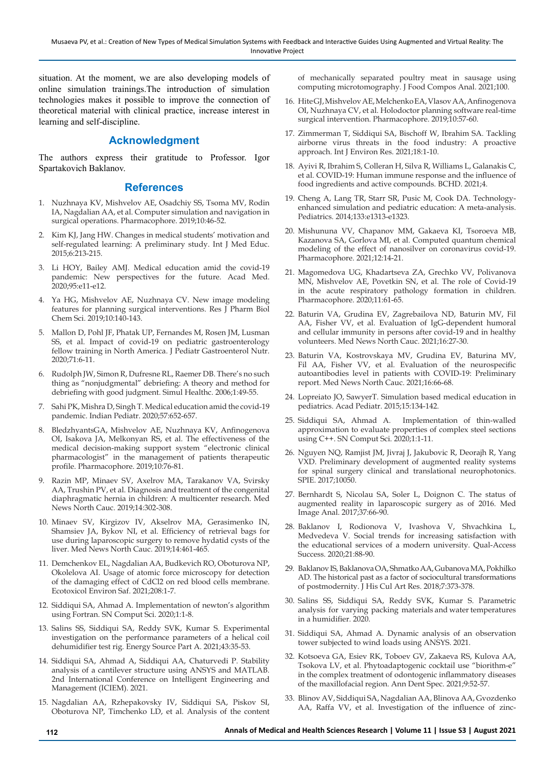situation. At the moment, we are also developing models of online simulation trainings.The introduction of simulation technologies makes it possible to improve the connection of theoretical material with clinical practice, increase interest in learning and self-discipline.

# **Acknowledgment**

The authors express their gratitude to Professor. Igor Spartakovich Baklanov.

## **References**

- 1. Nuzhnaya KV, Mishvelov AE, Osadchiy SS, Tsoma MV, Rodin IA, Nagdalian AA, et al. Computer simulation and navigation in surgical operations. Pharmacophore. 2019;10:46-52.
- 2. Kim KJ, Jang HW. Changes in medical students' motivation and self-regulated learning: A preliminary study. Int J Med Educ. 2015;6:213-215.
- 3. Li HOY, Bailey AMJ. Medical education amid the covid-19 pandemic: New perspectives for the future. Acad Med. 2020;95:e11-e12.
- 4. Ya HG, Mishvelov AE, Nuzhnaya CV. New image modeling features for planning surgical interventions. Res J Pharm Biol Chem Sci. 2019;10:140-143.
- 5. Mallon D, Pohl JF, Phatak UP, Fernandes M, Rosen JM, Lusman SS, et al. Impact of covid-19 on pediatric gastroenterology fellow training in North America. J Pediatr Gastroenterol Nutr. 2020;71:6-11.
- 6. Rudolph JW, Simon R, Dufresne RL, Raemer DB. There's no such thing as "nonjudgmental" debriefing: A theory and method for debriefing with good judgment. Simul Healthc. 2006;1:49-55.
- 7. Sahi PK, Mishra D, Singh T. Medical education amid the covid-19 pandemic. Indian Pediatr. 2020;57:652-657.
- 8. BledzhyantsGA, Mishvelov AE, Nuzhnaya KV, Anfinogenova OI, Isakova JA, Melkonyan RS, et al. The effectiveness of the medical decision-making support system "electronic clinical pharmacologist" in the management of patients therapeutic profile. Pharmacophore. 2019;10:76-81.
- 9. Razin MP, Minaev SV, Axelrov MA, Tarakanov VA, Svirsky AA, Trushin PV, et al. Diagnosis and treatment of the congenital diaphragmatic hernia in children: A multicenter research. Med News North Cauc. 2019;14:302-308.
- 10. Minaev SV, Kirgizov IV, Akselrov MA, Gerasimenko IN, Shamsiev JA, Bykov NI, et al. Efficiency of retrieval bags for use during laparoscopic surgery to remove hydatid cysts of the liver. Med News North Cauc. 2019;14:461-465.
- 11. Demchenkov EL, Nagdalian AA, Budkevich RO, Oboturova NP, Okolelova AI. Usage of atomic force microscopy for detection of the damaging effect of CdCl2 on red blood cells membrane. Ecotoxicol Environ Saf. 2021;208:1-7.
- 12. Siddiqui SA, Ahmad A. Implementation of newton's algorithm using Fortran. SN Comput Sci. 2020;1:1-8.
- 13. Salins SS, Siddiqui SA, Reddy SVK, Kumar S. Experimental investigation on the performance parameters of a helical coil dehumidifier test rig. Energy Source Part A. 2021;43:35-53.
- 14. Siddiqui SA, Ahmad A, Siddiqui AA, Chaturvedi P. Stability analysis of a cantilever structure using ANSYS and MATLAB. 2nd International Conference on Intelligent Engineering and Management (ICIEM). 2021.
- 15. Nagdalian AA, Rzhepakovsky IV, Siddiqui SA, Piskov SI, Oboturova NP, Timchenko LD, et al. Analysis of the content

of mechanically separated poultry meat in sausage using computing microtomography. J Food Compos Anal. 2021;100.

- 16. Hite GJ, Mishvelov AE, Melchenko EA, Vlasov AA, Anfinogenova OI, Nuzhnaya CV, et al. Holodoctor planning software real-time surgical intervention. Pharmacophore. 2019;10:57-60.
- 17. Zimmerman T, Siddiqui SA, Bischoff W, Ibrahim SA. Tackling airborne virus threats in the food industry: A proactive approach. Int J Environ Res. 2021;18:1-10.
- 18. Ayivi R, Ibrahim S, Colleran H, Silva R, Williams L, Galanakis C, et al. COVID-19: Human immune response and the influence of food ingredients and active compounds. BCHD. 2021;4.
- 19. Cheng A, Lang TR, Starr SR, Pusic M, Cook DA. Technologyenhanced simulation and pediatric education: A meta-analysis. Pediatrics. 2014;133:e1313-e1323.
- 20. Mishununa VV, Chapanov MM, Gakaeva KI, Tsoroeva MB, Kazanova SA, Gorlova MI, et al. Computed quantum chemical modeling of the effect of nanosilver on coronavirus covid-19. Pharmacophore. 2021;12:14-21.
- 21. Magomedova UG, Khadartseva ZA, Grechko VV, Polivanova MN, Mishvelov AE, Povetkin SN, et al. The role of Covid-19 in the acute respiratory pathology formation in children. Pharmacophore. 2020;11:61-65.
- 22. Baturin VA, Grudina EV, Zagrebailova ND, Baturin MV, Fil AA, Fisher VV, et al. Evaluation of IgG-dependent humoral and cellular immunity in persons after covid-19 and in healthy volunteers. Med News North Cauc. 2021;16:27-30.
- 23. Baturin VA, Kostrovskaya MV, Grudina EV, Baturina MV, Fil AA, Fisher VV, et al. Evaluation of the neurospecific autoantibodies level in patients with COVID-19: Preliminary report. Med News North Cauc. 2021;16:66-68.
- 24. Lopreiato JO, SawyerT. Simulation based medical education in pediatrics. Acad Pediatr. 2015;15:134-142.
- 25. Siddiqui SA, Ahmad A. Implementation of thin-walled approximation to evaluate properties of complex steel sections using C++. SN Comput Sci. 2020;1:1-11.
- 26. Nguyen NQ, Ramjist JM, Jivraj J, Jakubovic R, Deorajh R, Yang VXD. Preliminary development of augmented reality systems for spinal surgery clinical and translational neurophotonics. SPIE. 2017;10050.
- 27. Bernhardt S, Nicolau SA, Soler L, Doignon C. The status of augmented reality in laparoscopic surgery as of 2016. Med Image Anal. 2017;37:66-90.
- 28. Baklanov I, Rodionova V, Ivashova V, Shvachkina L, Medvedeva V. Social trends for increasing satisfaction with the educational services of a modern university. Qual-Access Success. 2020;21:88-90.
- 29. Baklanov IS, Baklanova OA, Shmatko AA, Gubanova MA, Pokhilko AD. The historical past as a factor of sociocultural transformations of postmodernity. J His Cul Art Res. 2018;7:373-378.
- 30. Salins SS, Siddiqui SA, Reddy SVK, Kumar S. Parametric analysis for varying packing materials and water temperatures in a humidifier. 2020.
- 31. Siddiqui SA, Ahmad A. Dynamic analysis of an observation tower subjected to wind loads using ANSYS. 2021.
- 32. Kotsoeva GA, Esiev RK, Toboev GV, Zakaeva RS, Kulova AA, Tsokova LV, et al. Phytoadaptogenic cocktail use "biorithm-e" in the complex treatment of odontogenic inflammatory diseases of the maxillofacial region. Ann Dent Spec. 2021;9:52-57.
- 33. Blinov AV, Siddiqui SA, Nagdalian AA, Blinova AA, Gvozdenko AA, Raffa VV, et al. Investigation of the influence of zinc-